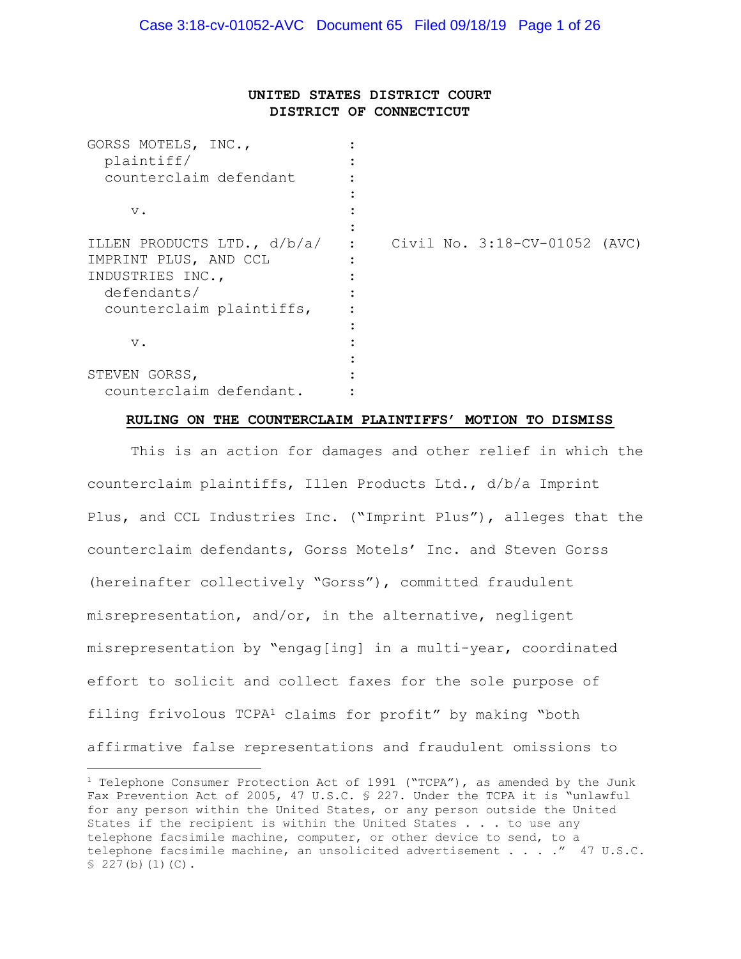# UNITED STATES DISTRICT COURT DISTRICT OF CONNECTICUT

| GORSS MOTELS, INC.,           |                               |
|-------------------------------|-------------------------------|
| plaintiff/                    |                               |
| counterclaim defendant        |                               |
|                               |                               |
| $\mathbf v$ .                 |                               |
|                               |                               |
| ILLEN PRODUCTS LTD., $d/b/a/$ | Civil No. 3:18-CV-01052 (AVC) |
| IMPRINT PLUS, AND CCL         |                               |
| INDUSTRIES INC.,              |                               |
| defendants/                   |                               |
| counterclaim plaintiffs,      |                               |
|                               |                               |
| $\mathbf v$ .                 |                               |
|                               |                               |
| STEVEN GORSS,                 |                               |
| counterclaim defendant.       |                               |

#### RULING ON THE COUNTERCLAIM PLAINTIFFS' MOTION TO DISMISS

 This is an action for damages and other relief in which the counterclaim plaintiffs, Illen Products Ltd., d/b/a Imprint Plus, and CCL Industries Inc. ("Imprint Plus"), alleges that the counterclaim defendants, Gorss Motels' Inc. and Steven Gorss (hereinafter collectively "Gorss"), committed fraudulent misrepresentation, and/or, in the alternative, negligent misrepresentation by "engag[ing] in a multi-year, coordinated effort to solicit and collect faxes for the sole purpose of filing frivolous TCPA<sup>1</sup> claims for profit" by making "both affirmative false representations and fraudulent omissions to

<sup>&</sup>lt;sup>1</sup> Telephone Consumer Protection Act of 1991 ("TCPA"), as amended by the Junk Fax Prevention Act of 2005, 47 U.S.C. § 227. Under the TCPA it is "unlawful for any person within the United States, or any person outside the United States if the recipient is within the United States . . . to use any telephone facsimile machine, computer, or other device to send, to a telephone facsimile machine, an unsolicited advertisement . . . ." 47 U.S.C. § 227(b)(1)(C).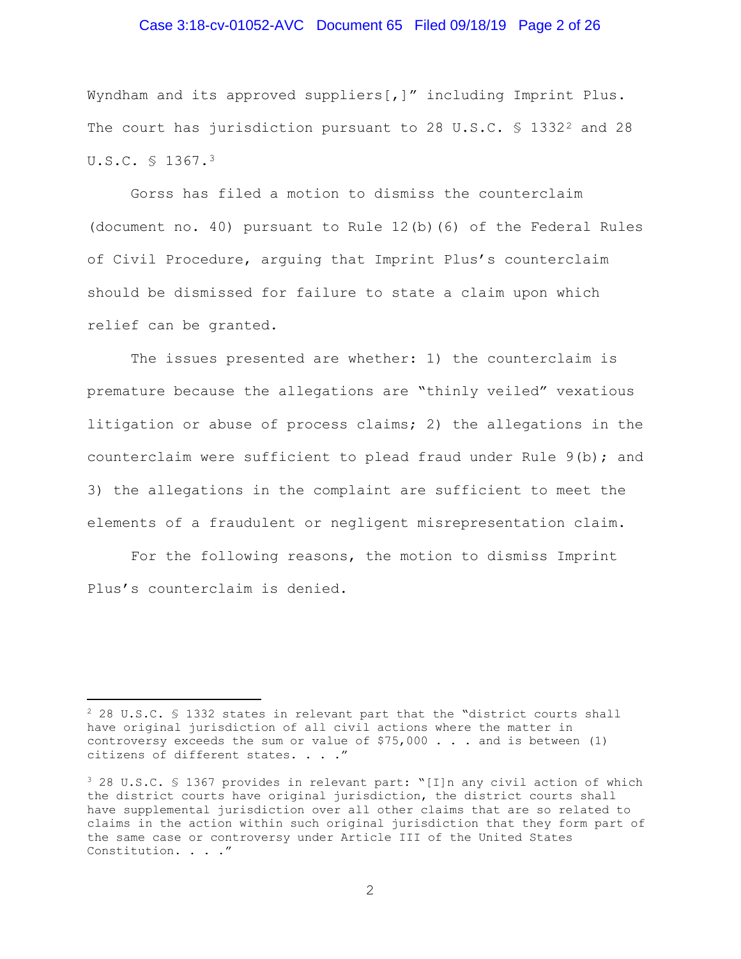## Case 3:18-cv-01052-AVC Document 65 Filed 09/18/19 Page 2 of 26

Wyndham and its approved suppliers[,]" including Imprint Plus. The court has jurisdiction pursuant to 28 U.S.C.  $\$$  1332<sup>2</sup> and 28 U.S.C. § 1367.<sup>3</sup>

Gorss has filed a motion to dismiss the counterclaim (document no. 40) pursuant to Rule 12(b)(6) of the Federal Rules of Civil Procedure, arguing that Imprint Plus's counterclaim should be dismissed for failure to state a claim upon which relief can be granted.

The issues presented are whether: 1) the counterclaim is premature because the allegations are "thinly veiled" vexatious litigation or abuse of process claims; 2) the allegations in the counterclaim were sufficient to plead fraud under Rule 9(b); and 3) the allegations in the complaint are sufficient to meet the elements of a fraudulent or negligent misrepresentation claim.

For the following reasons, the motion to dismiss Imprint Plus's counterclaim is denied.

<sup>2</sup> 28 U.S.C. § 1332 states in relevant part that the "district courts shall have original jurisdiction of all civil actions where the matter in controversy exceeds the sum or value of  $$75,000$  . . . and is between (1) citizens of different states. . . ."

<sup>3</sup> 28 U.S.C. § 1367 provides in relevant part: "[I]n any civil action of which the district courts have original jurisdiction, the district courts shall have supplemental jurisdiction over all other claims that are so related to claims in the action within such original jurisdiction that they form part of the same case or controversy under Article III of the United States Constitution. . . ."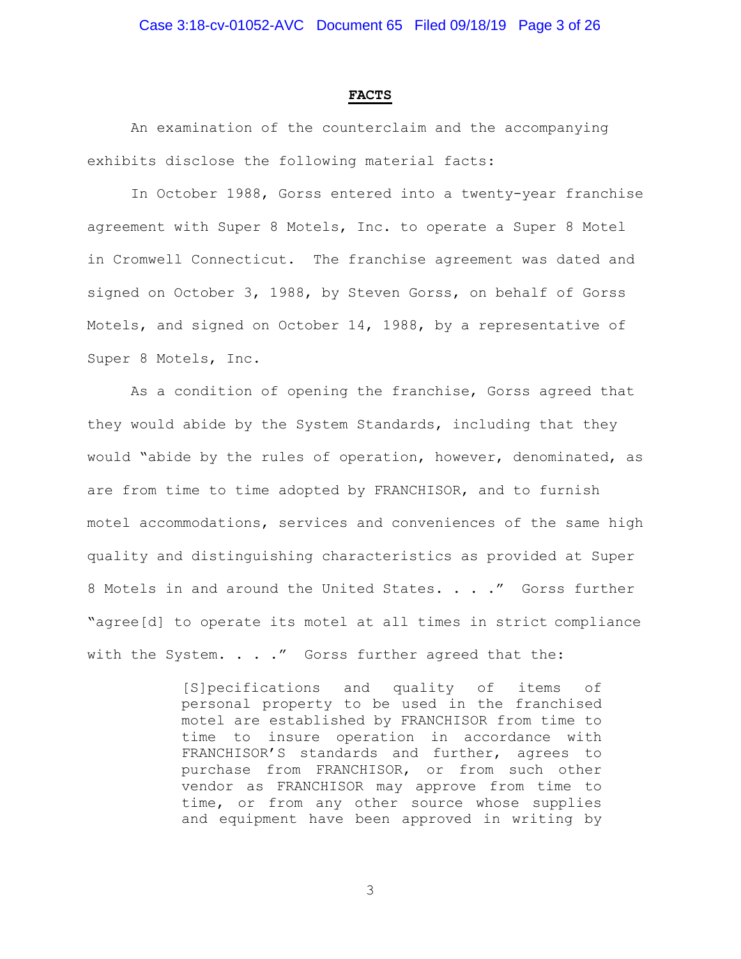#### FACTS

An examination of the counterclaim and the accompanying exhibits disclose the following material facts:

In October 1988, Gorss entered into a twenty-year franchise agreement with Super 8 Motels, Inc. to operate a Super 8 Motel in Cromwell Connecticut. The franchise agreement was dated and signed on October 3, 1988, by Steven Gorss, on behalf of Gorss Motels, and signed on October 14, 1988, by a representative of Super 8 Motels, Inc.

As a condition of opening the franchise, Gorss agreed that they would abide by the System Standards, including that they would "abide by the rules of operation, however, denominated, as are from time to time adopted by FRANCHISOR, and to furnish motel accommodations, services and conveniences of the same high quality and distinguishing characteristics as provided at Super 8 Motels in and around the United States. . . ." Gorss further "agree[d] to operate its motel at all times in strict compliance with the System. . . ." Gorss further agreed that the:

> [S]pecifications and quality of items of personal property to be used in the franchised motel are established by FRANCHISOR from time to time to insure operation in accordance with FRANCHISOR'S standards and further, agrees to purchase from FRANCHISOR, or from such other vendor as FRANCHISOR may approve from time to time, or from any other source whose supplies and equipment have been approved in writing by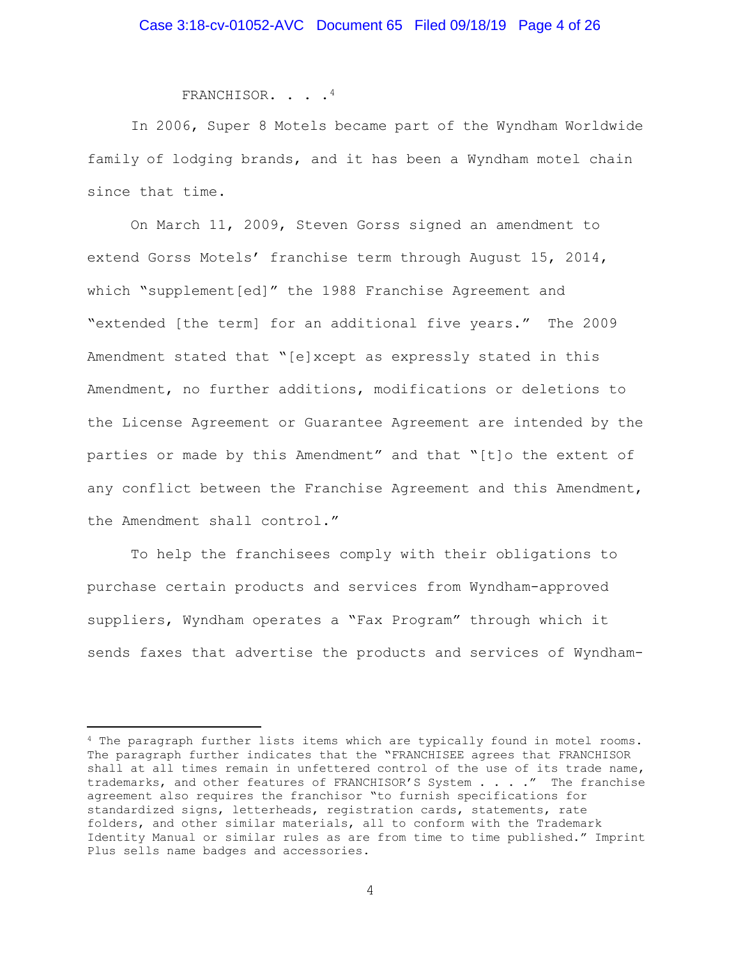FRANCHISOR. . . .<sup>4</sup>

 In 2006, Super 8 Motels became part of the Wyndham Worldwide family of lodging brands, and it has been a Wyndham motel chain since that time.

 On March 11, 2009, Steven Gorss signed an amendment to extend Gorss Motels' franchise term through August 15, 2014, which "supplement[ed]" the 1988 Franchise Agreement and "extended [the term] for an additional five years." The 2009 Amendment stated that "[e]xcept as expressly stated in this Amendment, no further additions, modifications or deletions to the License Agreement or Guarantee Agreement are intended by the parties or made by this Amendment" and that "[t]o the extent of any conflict between the Franchise Agreement and this Amendment, the Amendment shall control."

 To help the franchisees comply with their obligations to purchase certain products and services from Wyndham-approved suppliers, Wyndham operates a "Fax Program" through which it sends faxes that advertise the products and services of Wyndham-

<sup>4</sup> The paragraph further lists items which are typically found in motel rooms. The paragraph further indicates that the "FRANCHISEE agrees that FRANCHISOR shall at all times remain in unfettered control of the use of its trade name, trademarks, and other features of FRANCHISOR'S System . . . . " The franchise agreement also requires the franchisor "to furnish specifications for standardized signs, letterheads, registration cards, statements, rate folders, and other similar materials, all to conform with the Trademark Identity Manual or similar rules as are from time to time published." Imprint Plus sells name badges and accessories.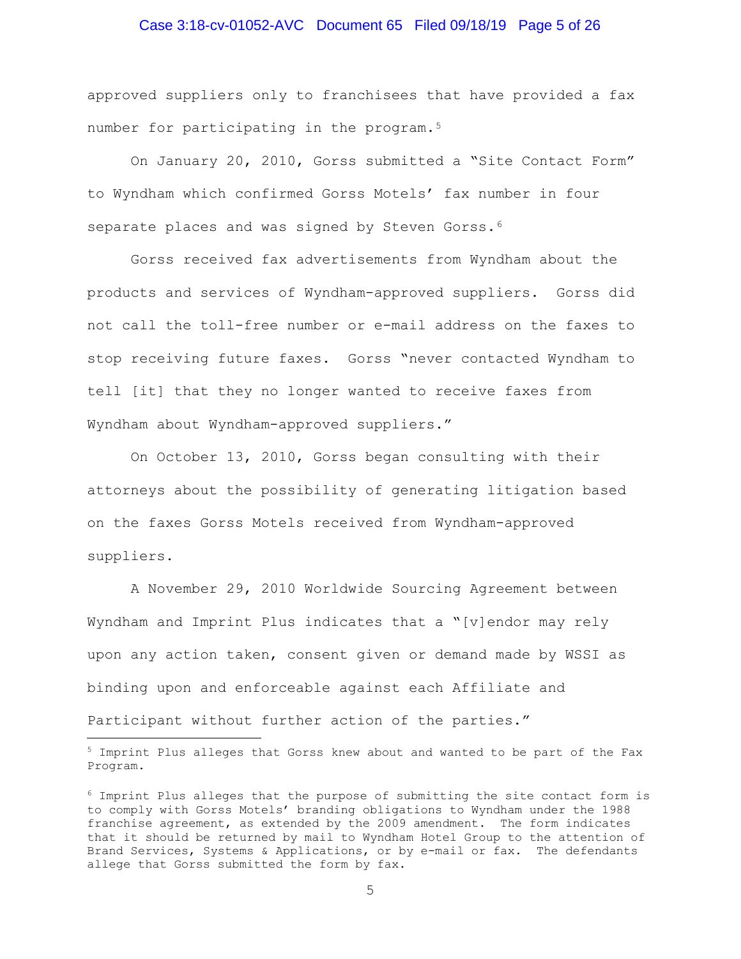## Case 3:18-cv-01052-AVC Document 65 Filed 09/18/19 Page 5 of 26

approved suppliers only to franchisees that have provided a fax number for participating in the program.<sup>5</sup>

 On January 20, 2010, Gorss submitted a "Site Contact Form" to Wyndham which confirmed Gorss Motels' fax number in four separate places and was signed by Steven Gorss.<sup>6</sup>

 Gorss received fax advertisements from Wyndham about the products and services of Wyndham-approved suppliers. Gorss did not call the toll-free number or e-mail address on the faxes to stop receiving future faxes. Gorss "never contacted Wyndham to tell [it] that they no longer wanted to receive faxes from Wyndham about Wyndham-approved suppliers."

 On October 13, 2010, Gorss began consulting with their attorneys about the possibility of generating litigation based on the faxes Gorss Motels received from Wyndham-approved suppliers.

 A November 29, 2010 Worldwide Sourcing Agreement between Wyndham and Imprint Plus indicates that a "[v]endor may rely upon any action taken, consent given or demand made by WSSI as binding upon and enforceable against each Affiliate and Participant without further action of the parties."

÷,

<sup>5</sup> Imprint Plus alleges that Gorss knew about and wanted to be part of the Fax Program.

 $6$  Imprint Plus alleges that the purpose of submitting the site contact form is to comply with Gorss Motels' branding obligations to Wyndham under the 1988 franchise agreement, as extended by the 2009 amendment. The form indicates that it should be returned by mail to Wyndham Hotel Group to the attention of Brand Services, Systems & Applications, or by e-mail or fax. The defendants allege that Gorss submitted the form by fax.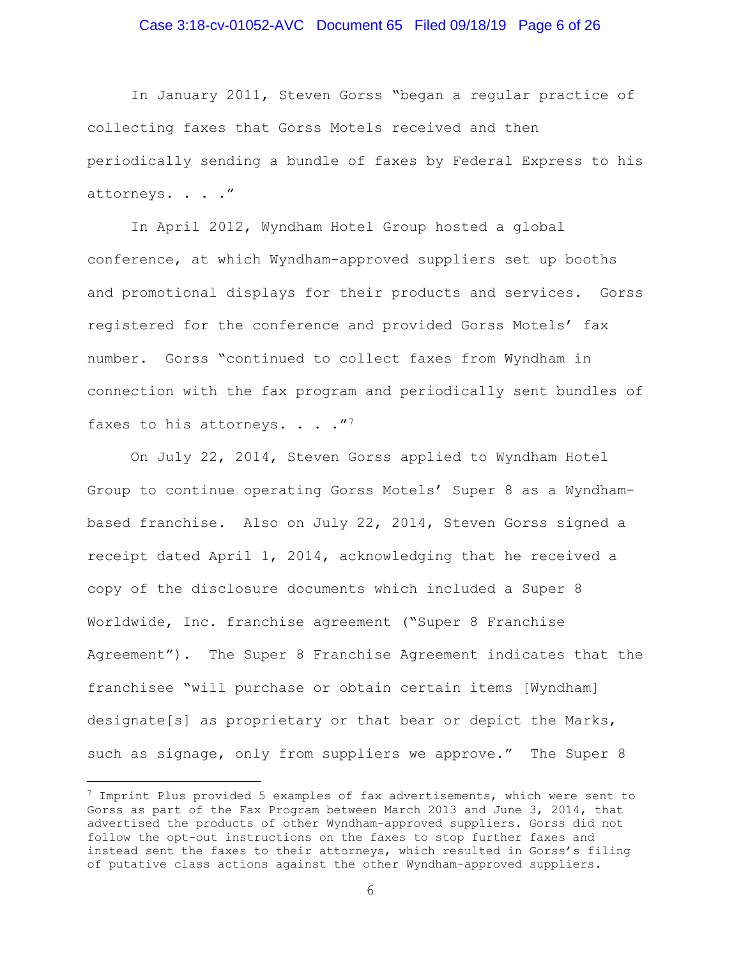## Case 3:18-cv-01052-AVC Document 65 Filed 09/18/19 Page 6 of 26

 In January 2011, Steven Gorss "began a regular practice of collecting faxes that Gorss Motels received and then periodically sending a bundle of faxes by Federal Express to his attorneys. . . ."

 In April 2012, Wyndham Hotel Group hosted a global conference, at which Wyndham-approved suppliers set up booths and promotional displays for their products and services. Gorss registered for the conference and provided Gorss Motels' fax number. Gorss "continued to collect faxes from Wyndham in connection with the fax program and periodically sent bundles of faxes to his attorneys.  $\ldots$  ."<sup>7</sup>

 On July 22, 2014, Steven Gorss applied to Wyndham Hotel Group to continue operating Gorss Motels' Super 8 as a Wyndhambased franchise. Also on July 22, 2014, Steven Gorss signed a receipt dated April 1, 2014, acknowledging that he received a copy of the disclosure documents which included a Super 8 Worldwide, Inc. franchise agreement ("Super 8 Franchise Agreement"). The Super 8 Franchise Agreement indicates that the franchisee "will purchase or obtain certain items [Wyndham] designate[s] as proprietary or that bear or depict the Marks, such as signage, only from suppliers we approve." The Super 8

 $7$  Imprint Plus provided 5 examples of fax advertisements, which were sent to Gorss as part of the Fax Program between March 2013 and June 3, 2014, that advertised the products of other Wyndham-approved suppliers. Gorss did not follow the opt-out instructions on the faxes to stop further faxes and instead sent the faxes to their attorneys, which resulted in Gorss's filing of putative class actions against the other Wyndham-approved suppliers.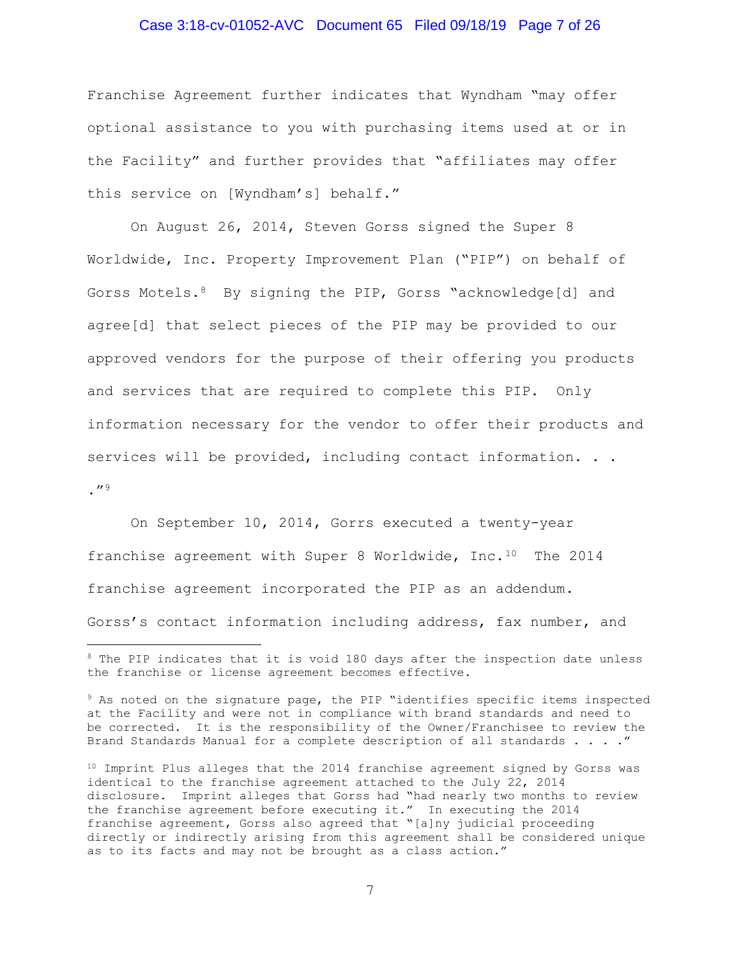## Case 3:18-cv-01052-AVC Document 65 Filed 09/18/19 Page 7 of 26

Franchise Agreement further indicates that Wyndham "may offer optional assistance to you with purchasing items used at or in the Facility" and further provides that "affiliates may offer this service on [Wyndham's] behalf."

 On August 26, 2014, Steven Gorss signed the Super 8 Worldwide, Inc. Property Improvement Plan ("PIP") on behalf of Gorss Motels.<sup>8</sup> By signing the PIP, Gorss "acknowledge[d] and agree[d] that select pieces of the PIP may be provided to our approved vendors for the purpose of their offering you products and services that are required to complete this PIP. Only information necessary for the vendor to offer their products and services will be provided, including contact information. . .  $\frac{1}{2}$ 

 On September 10, 2014, Gorrs executed a twenty-year franchise agreement with Super 8 Worldwide, Inc.<sup>10</sup> The 2014 franchise agreement incorporated the PIP as an addendum. Gorss's contact information including address, fax number, and

<sup>&</sup>lt;sup>8</sup> The PIP indicates that it is void 180 days after the inspection date unless the franchise or license agreement becomes effective.

<sup>9</sup> As noted on the signature page, the PIP "identifies specific items inspected at the Facility and were not in compliance with brand standards and need to be corrected. It is the responsibility of the Owner/Franchisee to review the Brand Standards Manual for a complete description of all standards . . . ."

<sup>&</sup>lt;sup>10</sup> Imprint Plus alleges that the 2014 franchise agreement signed by Gorss was identical to the franchise agreement attached to the July 22, 2014 disclosure. Imprint alleges that Gorss had "had nearly two months to review the franchise agreement before executing it." In executing the 2014 franchise agreement, Gorss also agreed that "[a]ny judicial proceeding directly or indirectly arising from this agreement shall be considered unique as to its facts and may not be brought as a class action."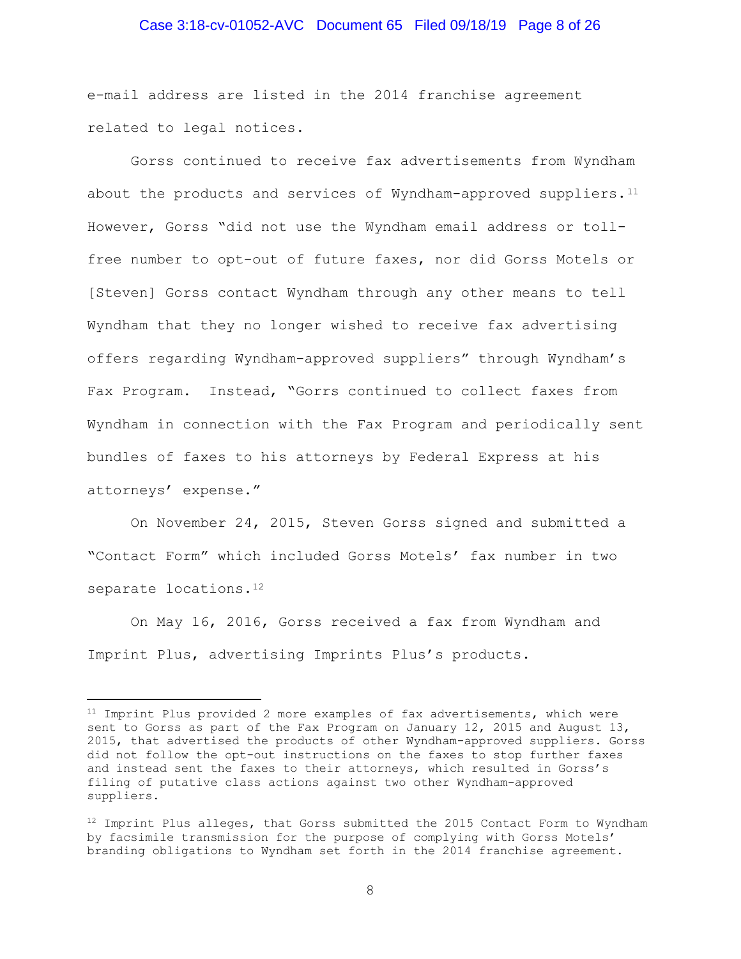## Case 3:18-cv-01052-AVC Document 65 Filed 09/18/19 Page 8 of 26

e-mail address are listed in the 2014 franchise agreement related to legal notices.

 Gorss continued to receive fax advertisements from Wyndham about the products and services of Wyndham-approved suppliers.<sup>11</sup> However, Gorss "did not use the Wyndham email address or tollfree number to opt-out of future faxes, nor did Gorss Motels or [Steven] Gorss contact Wyndham through any other means to tell Wyndham that they no longer wished to receive fax advertising offers regarding Wyndham-approved suppliers" through Wyndham's Fax Program. Instead, "Gorrs continued to collect faxes from Wyndham in connection with the Fax Program and periodically sent bundles of faxes to his attorneys by Federal Express at his attorneys' expense."

 On November 24, 2015, Steven Gorss signed and submitted a "Contact Form" which included Gorss Motels' fax number in two separate locations.<sup>12</sup>

 On May 16, 2016, Gorss received a fax from Wyndham and Imprint Plus, advertising Imprints Plus's products.

<sup>&</sup>lt;sup>11</sup> Imprint Plus provided 2 more examples of fax advertisements, which were sent to Gorss as part of the Fax Program on January 12, 2015 and August 13, 2015, that advertised the products of other Wyndham-approved suppliers. Gorss did not follow the opt-out instructions on the faxes to stop further faxes and instead sent the faxes to their attorneys, which resulted in Gorss's filing of putative class actions against two other Wyndham-approved suppliers.

 $12$  Imprint Plus alleges, that Gorss submitted the 2015 Contact Form to Wyndham by facsimile transmission for the purpose of complying with Gorss Motels' branding obligations to Wyndham set forth in the 2014 franchise agreement.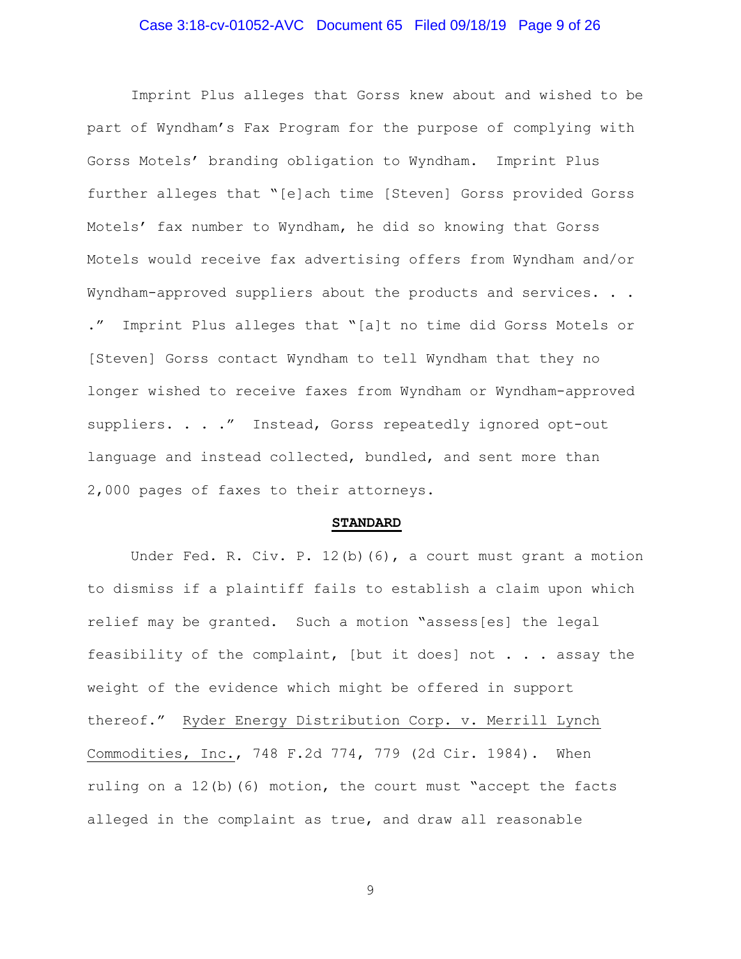## Case 3:18-cv-01052-AVC Document 65 Filed 09/18/19 Page 9 of 26

 Imprint Plus alleges that Gorss knew about and wished to be part of Wyndham's Fax Program for the purpose of complying with Gorss Motels' branding obligation to Wyndham. Imprint Plus further alleges that "[e]ach time [Steven] Gorss provided Gorss Motels' fax number to Wyndham, he did so knowing that Gorss Motels would receive fax advertising offers from Wyndham and/or Wyndham-approved suppliers about the products and services. . . ." Imprint Plus alleges that "[a]t no time did Gorss Motels or [Steven] Gorss contact Wyndham to tell Wyndham that they no longer wished to receive faxes from Wyndham or Wyndham-approved suppliers. . . ." Instead, Gorss repeatedly ignored opt-out language and instead collected, bundled, and sent more than 2,000 pages of faxes to their attorneys.

#### STANDARD

Under Fed. R. Civ. P.  $12(b)(6)$ , a court must grant a motion to dismiss if a plaintiff fails to establish a claim upon which relief may be granted. Such a motion "assess[es] the legal feasibility of the complaint, [but it does] not . . . assay the weight of the evidence which might be offered in support thereof." Ryder Energy Distribution Corp. v. Merrill Lynch Commodities, Inc., 748 F.2d 774, 779 (2d Cir. 1984). When ruling on a  $12(b)$  (6) motion, the court must "accept the facts alleged in the complaint as true, and draw all reasonable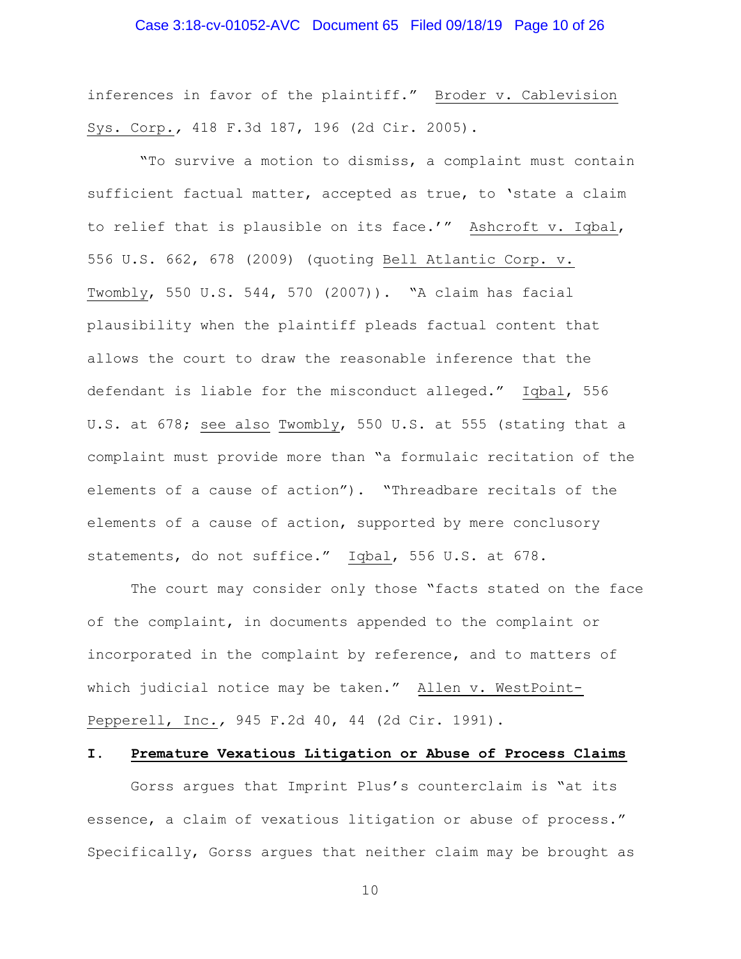## Case 3:18-cv-01052-AVC Document 65 Filed 09/18/19 Page 10 of 26

inferences in favor of the plaintiff." Broder v. Cablevision Sys. Corp., 418 F.3d 187, 196 (2d Cir. 2005).

 "To survive a motion to dismiss, a complaint must contain sufficient factual matter, accepted as true, to 'state a claim to relief that is plausible on its face.'" Ashcroft v. Iqbal, 556 U.S. 662, 678 (2009) (quoting Bell Atlantic Corp. v. Twombly, 550 U.S. 544, 570 (2007)). "A claim has facial plausibility when the plaintiff pleads factual content that allows the court to draw the reasonable inference that the defendant is liable for the misconduct alleged." Iqbal, 556 U.S. at 678; see also Twombly, 550 U.S. at 555 (stating that a complaint must provide more than "a formulaic recitation of the elements of a cause of action"). "Threadbare recitals of the elements of a cause of action, supported by mere conclusory statements, do not suffice." Iqbal, 556 U.S. at 678.

The court may consider only those "facts stated on the face of the complaint, in documents appended to the complaint or incorporated in the complaint by reference, and to matters of which judicial notice may be taken." Allen v. WestPoint-Pepperell, Inc., 945 F.2d 40, 44 (2d Cir. 1991).

## I. Premature Vexatious Litigation or Abuse of Process Claims

 Gorss argues that Imprint Plus's counterclaim is "at its essence, a claim of vexatious litigation or abuse of process." Specifically, Gorss argues that neither claim may be brought as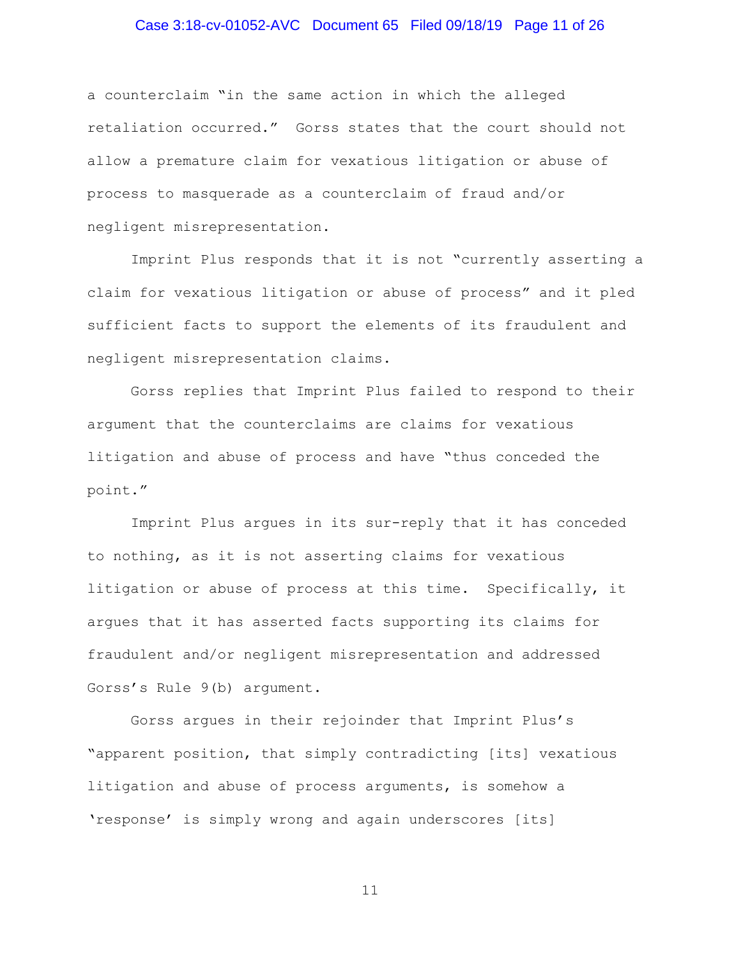## Case 3:18-cv-01052-AVC Document 65 Filed 09/18/19 Page 11 of 26

a counterclaim "in the same action in which the alleged retaliation occurred." Gorss states that the court should not allow a premature claim for vexatious litigation or abuse of process to masquerade as a counterclaim of fraud and/or negligent misrepresentation.

 Imprint Plus responds that it is not "currently asserting a claim for vexatious litigation or abuse of process" and it pled sufficient facts to support the elements of its fraudulent and negligent misrepresentation claims.

 Gorss replies that Imprint Plus failed to respond to their argument that the counterclaims are claims for vexatious litigation and abuse of process and have "thus conceded the point."

 Imprint Plus argues in its sur-reply that it has conceded to nothing, as it is not asserting claims for vexatious litigation or abuse of process at this time. Specifically, it argues that it has asserted facts supporting its claims for fraudulent and/or negligent misrepresentation and addressed Gorss's Rule 9(b) argument.

 Gorss argues in their rejoinder that Imprint Plus's "apparent position, that simply contradicting [its] vexatious litigation and abuse of process arguments, is somehow a 'response' is simply wrong and again underscores [its]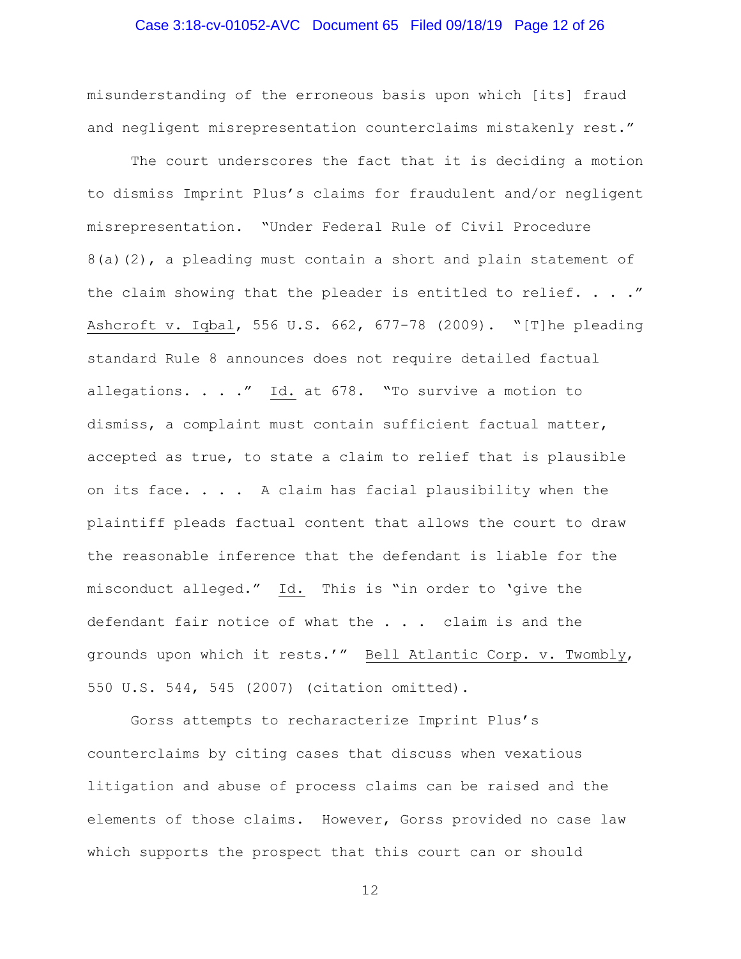## Case 3:18-cv-01052-AVC Document 65 Filed 09/18/19 Page 12 of 26

misunderstanding of the erroneous basis upon which [its] fraud and negligent misrepresentation counterclaims mistakenly rest."

 The court underscores the fact that it is deciding a motion to dismiss Imprint Plus's claims for fraudulent and/or negligent misrepresentation. "Under Federal Rule of Civil Procedure 8(a)(2), a pleading must contain a short and plain statement of the claim showing that the pleader is entitled to relief. . . . " Ashcroft v. Iqbal, 556 U.S. 662, 677-78 (2009). "[T]he pleading standard Rule 8 announces does not require detailed factual allegations. . . ." Id. at 678. "To survive a motion to dismiss, a complaint must contain sufficient factual matter, accepted as true, to state a claim to relief that is plausible on its face.  $\ldots$  . A claim has facial plausibility when the plaintiff pleads factual content that allows the court to draw the reasonable inference that the defendant is liable for the misconduct alleged." Id. This is "in order to 'give the defendant fair notice of what the . . . claim is and the grounds upon which it rests.'" Bell Atlantic Corp. v. Twombly, 550 U.S. 544, 545 (2007) (citation omitted).

Gorss attempts to recharacterize Imprint Plus's counterclaims by citing cases that discuss when vexatious litigation and abuse of process claims can be raised and the elements of those claims. However, Gorss provided no case law which supports the prospect that this court can or should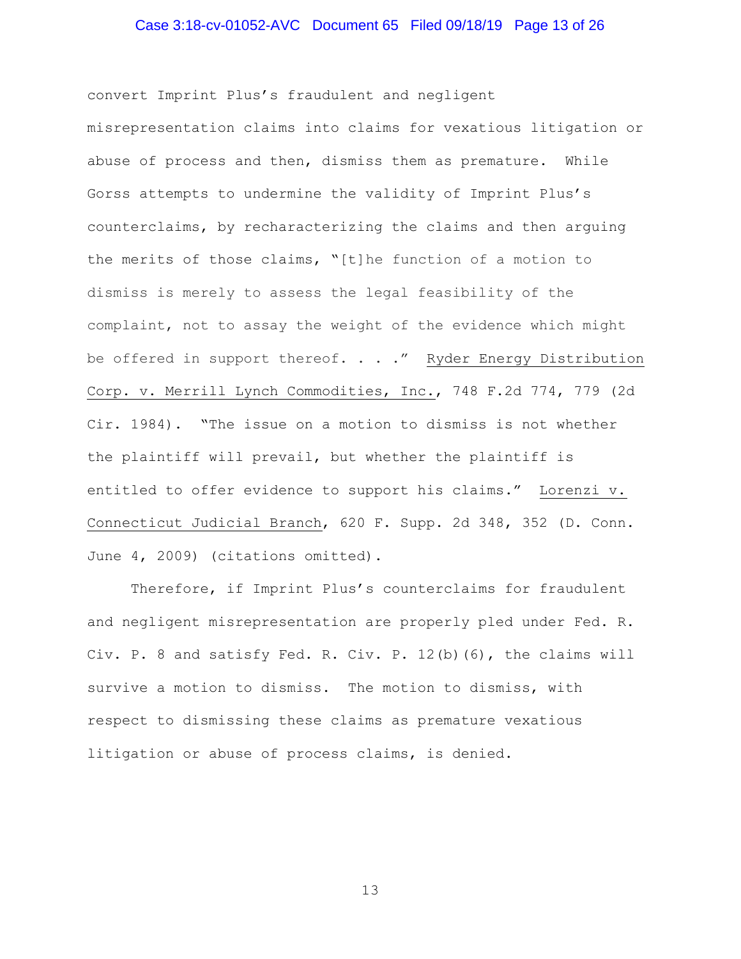## Case 3:18-cv-01052-AVC Document 65 Filed 09/18/19 Page 13 of 26

convert Imprint Plus's fraudulent and negligent misrepresentation claims into claims for vexatious litigation or abuse of process and then, dismiss them as premature. While Gorss attempts to undermine the validity of Imprint Plus's counterclaims, by recharacterizing the claims and then arguing the merits of those claims, "[t]he function of a motion to dismiss is merely to assess the legal feasibility of the complaint, not to assay the weight of the evidence which might be offered in support thereof. . . ." Ryder Energy Distribution Corp. v. Merrill Lynch Commodities, Inc., 748 F.2d 774, 779 (2d Cir. 1984). "The issue on a motion to dismiss is not whether the plaintiff will prevail, but whether the plaintiff is entitled to offer evidence to support his claims." Lorenzi v. Connecticut Judicial Branch, 620 F. Supp. 2d 348, 352 (D. Conn. June 4, 2009) (citations omitted).

Therefore, if Imprint Plus's counterclaims for fraudulent and negligent misrepresentation are properly pled under Fed. R. Civ. P. 8 and satisfy Fed. R. Civ. P. 12(b)(6), the claims will survive a motion to dismiss. The motion to dismiss, with respect to dismissing these claims as premature vexatious litigation or abuse of process claims, is denied.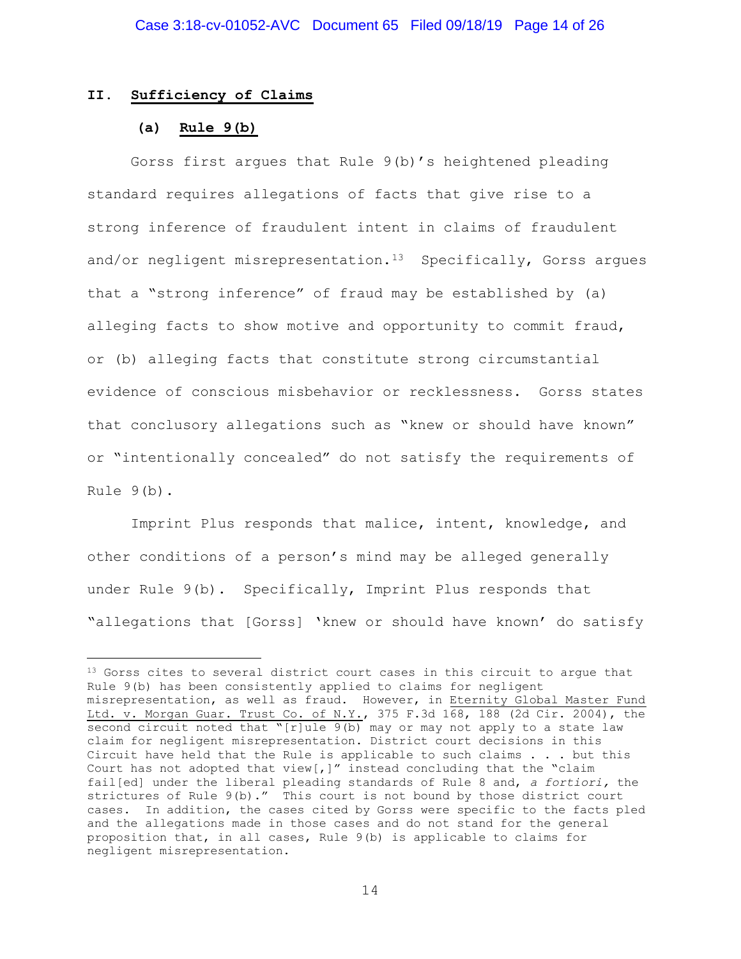#### II. Sufficiency of Claims

#### (a) Rule 9(b)

÷,

 Gorss first argues that Rule 9(b)'s heightened pleading standard requires allegations of facts that give rise to a strong inference of fraudulent intent in claims of fraudulent and/or negligent misrepresentation.<sup>13</sup> Specifically, Gorss argues that a "strong inference" of fraud may be established by (a) alleging facts to show motive and opportunity to commit fraud, or (b) alleging facts that constitute strong circumstantial evidence of conscious misbehavior or recklessness. Gorss states that conclusory allegations such as "knew or should have known" or "intentionally concealed" do not satisfy the requirements of Rule 9(b).

 Imprint Plus responds that malice, intent, knowledge, and other conditions of a person's mind may be alleged generally under Rule 9(b). Specifically, Imprint Plus responds that "allegations that [Gorss] 'knew or should have known' do satisfy

<sup>&</sup>lt;sup>13</sup> Gorss cites to several district court cases in this circuit to argue that Rule 9(b) has been consistently applied to claims for negligent misrepresentation, as well as fraud. However, in Eternity Global Master Fund Ltd. v. Morgan Guar. Trust Co. of N.Y., 375 F.3d 168, 188 (2d Cir. 2004), the second circuit noted that "[r]ule 9(b) may or may not apply to a state law claim for negligent misrepresentation. District court decisions in this Circuit have held that the Rule is applicable to such claims . . . but this Court has not adopted that  $view[,]$ " instead concluding that the "claim fail[ed] under the liberal pleading standards of Rule 8 and, a fortiori, the strictures of Rule 9(b)." This court is not bound by those district court cases. In addition, the cases cited by Gorss were specific to the facts pled and the allegations made in those cases and do not stand for the general proposition that, in all cases, Rule 9(b) is applicable to claims for negligent misrepresentation.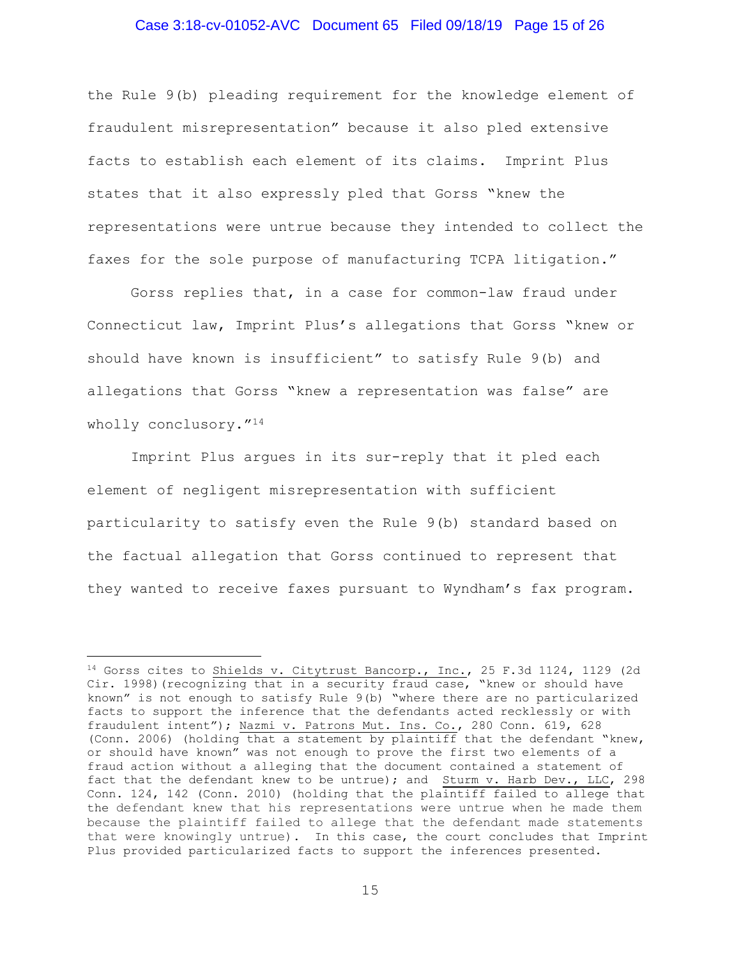## Case 3:18-cv-01052-AVC Document 65 Filed 09/18/19 Page 15 of 26

the Rule 9(b) pleading requirement for the knowledge element of fraudulent misrepresentation" because it also pled extensive facts to establish each element of its claims. Imprint Plus states that it also expressly pled that Gorss "knew the representations were untrue because they intended to collect the faxes for the sole purpose of manufacturing TCPA litigation."

 Gorss replies that, in a case for common-law fraud under Connecticut law, Imprint Plus's allegations that Gorss "knew or should have known is insufficient" to satisfy Rule 9(b) and allegations that Gorss "knew a representation was false" are wholly conclusory."<sup>14</sup>

 Imprint Plus argues in its sur-reply that it pled each element of negligent misrepresentation with sufficient particularity to satisfy even the Rule 9(b) standard based on the factual allegation that Gorss continued to represent that they wanted to receive faxes pursuant to Wyndham's fax program.

 $14$  Gorss cites to Shields v. Citytrust Bancorp., Inc., 25 F.3d 1124, 1129 (2d Cir. 1998)(recognizing that in a security fraud case, "knew or should have known" is not enough to satisfy Rule 9(b) "where there are no particularized facts to support the inference that the defendants acted recklessly or with fraudulent intent"); Nazmi v. Patrons Mut. Ins. Co., 280 Conn. 619, 628 (Conn. 2006) (holding that a statement by plaintiff that the defendant "knew, or should have known" was not enough to prove the first two elements of a fraud action without a alleging that the document contained a statement of fact that the defendant knew to be untrue); and Sturm v. Harb Dev., LLC, 298 Conn. 124, 142 (Conn. 2010) (holding that the plaintiff failed to allege that the defendant knew that his representations were untrue when he made them because the plaintiff failed to allege that the defendant made statements that were knowingly untrue). In this case, the court concludes that Imprint Plus provided particularized facts to support the inferences presented.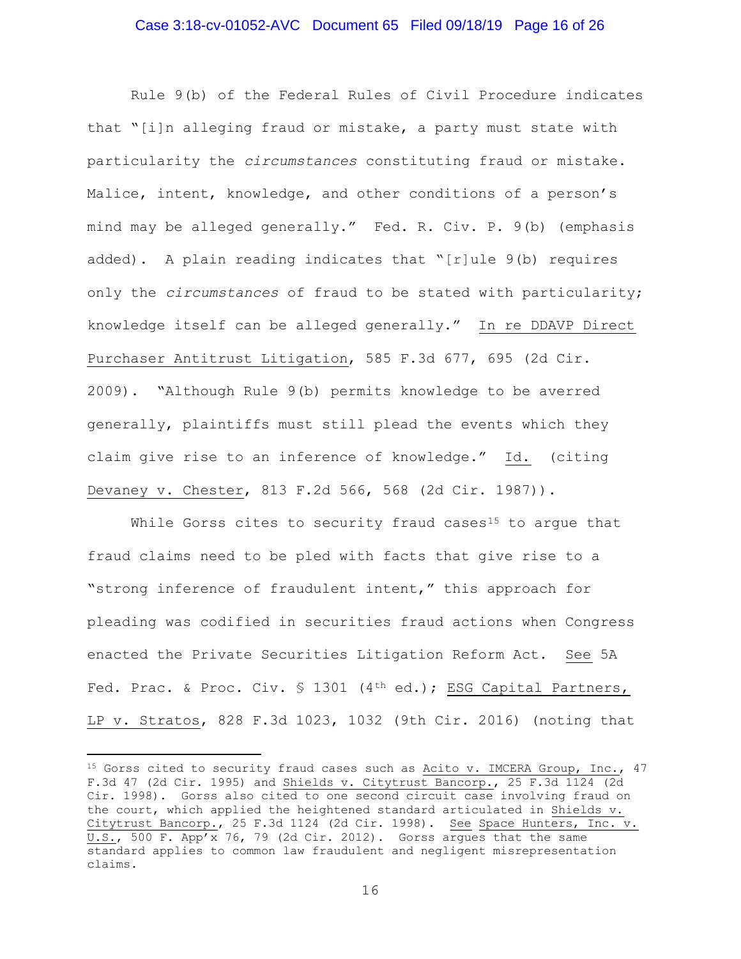#### Case 3:18-cv-01052-AVC Document 65 Filed 09/18/19 Page 16 of 26

 Rule 9(b) of the Federal Rules of Civil Procedure indicates that "[i]n alleging fraud or mistake, a party must state with particularity the circumstances constituting fraud or mistake. Malice, intent, knowledge, and other conditions of a person's mind may be alleged generally." Fed. R. Civ. P. 9(b) (emphasis added). A plain reading indicates that "[r]ule 9(b) requires only the circumstances of fraud to be stated with particularity; knowledge itself can be alleged generally." In re DDAVP Direct Purchaser Antitrust Litigation, 585 F.3d 677, 695 (2d Cir. 2009). "Although Rule 9(b) permits knowledge to be averred generally, plaintiffs must still plead the events which they claim give rise to an inference of knowledge." Id. (citing Devaney v. Chester, 813 F.2d 566, 568 (2d Cir. 1987)).

While Gorss cites to security fraud cases<sup>15</sup> to argue that fraud claims need to be pled with facts that give rise to a "strong inference of fraudulent intent," this approach for pleading was codified in securities fraud actions when Congress enacted the Private Securities Litigation Reform Act. See 5A Fed. Prac. & Proc. Civ. § 1301 (4<sup>th</sup> ed.); ESG Capital Partners, LP v. Stratos, 828 F.3d 1023, 1032 (9th Cir. 2016) (noting that

<sup>&</sup>lt;sup>15</sup> Gorss cited to security fraud cases such as Acito v. IMCERA Group, Inc.,  $47$ F.3d 47 (2d Cir. 1995) and Shields v. Citytrust Bancorp., 25 F.3d 1124 (2d Cir. 1998). Gorss also cited to one second circuit case involving fraud on the court, which applied the heightened standard articulated in Shields v. Citytrust Bancorp., 25 F.3d 1124 (2d Cir. 1998). See Space Hunters, Inc. v.  $\overline{U.S.}$ , 500 F. App'x 76, 79 (2d Cir. 2012). Gorss argues that the same standard applies to common law fraudulent and negligent misrepresentation claims.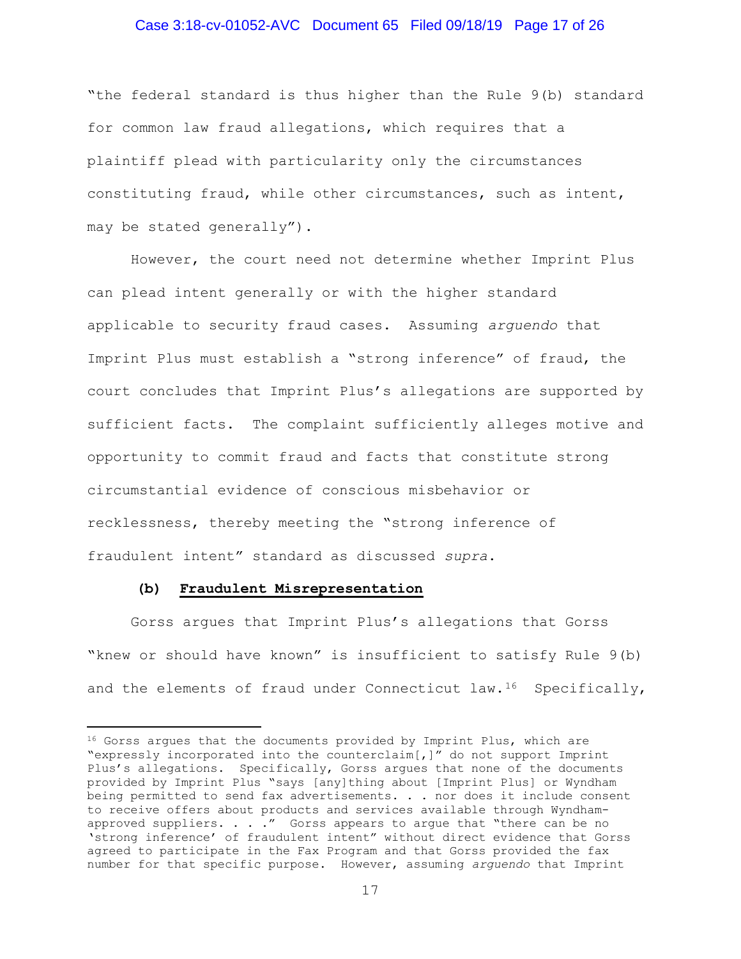#### Case 3:18-cv-01052-AVC Document 65 Filed 09/18/19 Page 17 of 26

"the federal standard is thus higher than the Rule 9(b) standard for common law fraud allegations, which requires that a plaintiff plead with particularity only the circumstances constituting fraud, while other circumstances, such as intent, may be stated generally").

However, the court need not determine whether Imprint Plus can plead intent generally or with the higher standard applicable to security fraud cases. Assuming arguendo that Imprint Plus must establish a "strong inference" of fraud, the court concludes that Imprint Plus's allegations are supported by sufficient facts. The complaint sufficiently alleges motive and opportunity to commit fraud and facts that constitute strong circumstantial evidence of conscious misbehavior or recklessness, thereby meeting the "strong inference of fraudulent intent" standard as discussed supra.

#### (b) Fraudulent Misrepresentation

÷,

Gorss argues that Imprint Plus's allegations that Gorss "knew or should have known" is insufficient to satisfy Rule 9(b) and the elements of fraud under Connecticut  $law.$ <sup>16</sup> Specifically,

<sup>&</sup>lt;sup>16</sup> Gorss argues that the documents provided by Imprint Plus, which are "expressly incorporated into the counterclaim[,]" do not support Imprint Plus's allegations. Specifically, Gorss argues that none of the documents provided by Imprint Plus "says [any]thing about [Imprint Plus] or Wyndham being permitted to send fax advertisements. . . nor does it include consent to receive offers about products and services available through Wyndhamapproved suppliers. . . ." Gorss appears to argue that "there can be no 'strong inference' of fraudulent intent" without direct evidence that Gorss agreed to participate in the Fax Program and that Gorss provided the fax number for that specific purpose. However, assuming arguendo that Imprint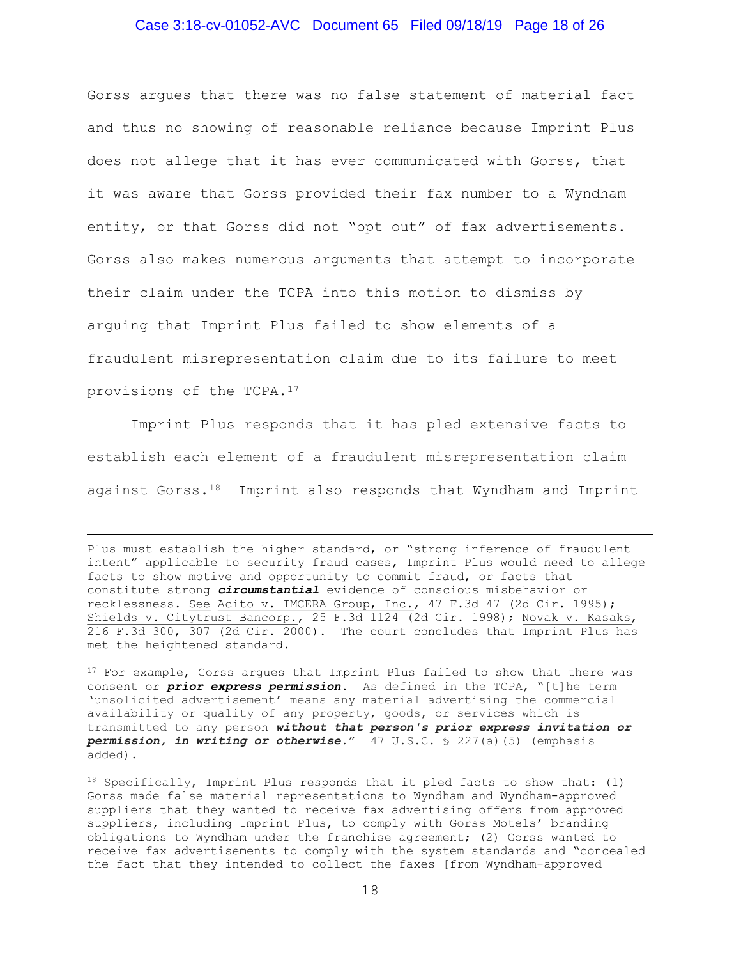## Case 3:18-cv-01052-AVC Document 65 Filed 09/18/19 Page 18 of 26

Gorss argues that there was no false statement of material fact and thus no showing of reasonable reliance because Imprint Plus does not allege that it has ever communicated with Gorss, that it was aware that Gorss provided their fax number to a Wyndham entity, or that Gorss did not "opt out" of fax advertisements. Gorss also makes numerous arguments that attempt to incorporate their claim under the TCPA into this motion to dismiss by arguing that Imprint Plus failed to show elements of a fraudulent misrepresentation claim due to its failure to meet provisions of the TCPA.<sup>17</sup>

Imprint Plus responds that it has pled extensive facts to establish each element of a fraudulent misrepresentation claim against Gorss.<sup>18</sup> Imprint also responds that Wyndham and Imprint

<sup>17</sup> For example, Gorss argues that Imprint Plus failed to show that there was consent or *prior express permission*. As defined in the TCPA, "[t]he term 'unsolicited advertisement' means any material advertising the commercial availability or quality of any property, goods, or services which is transmitted to any person without that person's prior express invitation or permission, in writing or otherwise." 47 U.S.C. § 227(a)(5) (emphasis added).

Plus must establish the higher standard, or "strong inference of fraudulent intent" applicable to security fraud cases, Imprint Plus would need to allege facts to show motive and opportunity to commit fraud, or facts that constitute strong *circumstantial* evidence of conscious misbehavior or recklessness. See Acito v. IMCERA Group, Inc., 47 F.3d 47 (2d Cir. 1995); Shields v. Citytrust Bancorp., 25 F.3d 1124 (2d Cir. 1998); Novak v. Kasaks,  $216$  F.3d 300, 307 (2d Cir. 2000). The court concludes that Imprint Plus has met the heightened standard.

 $18$  Specifically, Imprint Plus responds that it pled facts to show that: (1) Gorss made false material representations to Wyndham and Wyndham-approved suppliers that they wanted to receive fax advertising offers from approved suppliers, including Imprint Plus, to comply with Gorss Motels' branding obligations to Wyndham under the franchise agreement; (2) Gorss wanted to receive fax advertisements to comply with the system standards and "concealed the fact that they intended to collect the faxes [from Wyndham-approved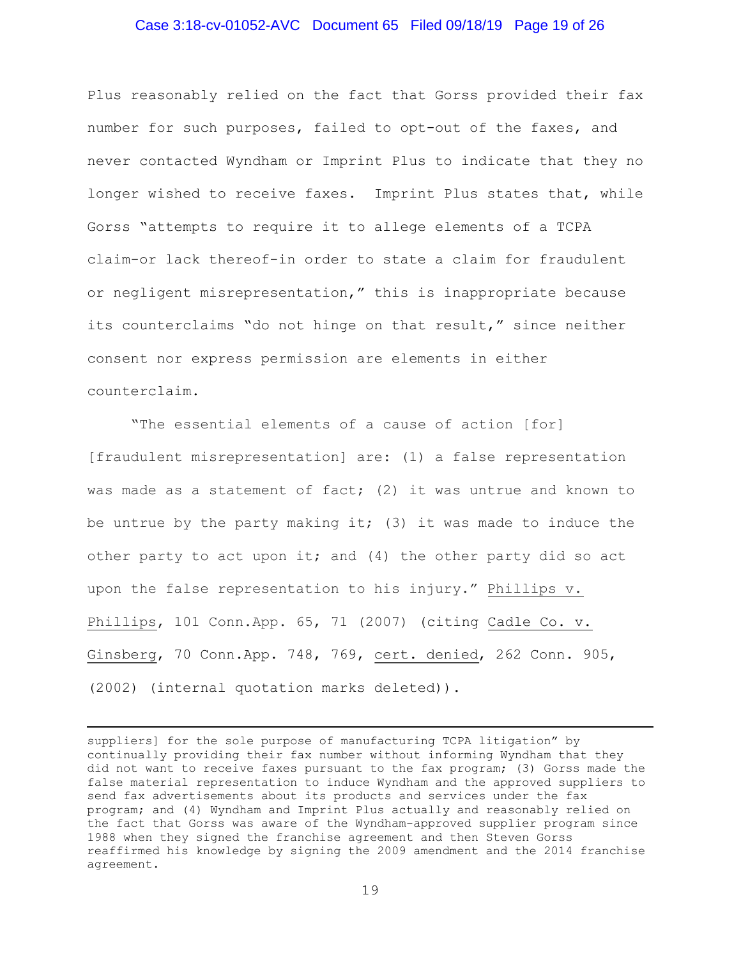#### Case 3:18-cv-01052-AVC Document 65 Filed 09/18/19 Page 19 of 26

Plus reasonably relied on the fact that Gorss provided their fax number for such purposes, failed to opt-out of the faxes, and never contacted Wyndham or Imprint Plus to indicate that they no longer wished to receive faxes. Imprint Plus states that, while Gorss "attempts to require it to allege elements of a TCPA claim-or lack thereof-in order to state a claim for fraudulent or negligent misrepresentation," this is inappropriate because its counterclaims "do not hinge on that result," since neither consent nor express permission are elements in either counterclaim.

"The essential elements of a cause of action [for] [fraudulent misrepresentation] are: (1) a false representation was made as a statement of fact; (2) it was untrue and known to be untrue by the party making it; (3) it was made to induce the other party to act upon it; and (4) the other party did so act upon the false representation to his injury." Phillips v. Phillips, 101 Conn.App. 65, 71 (2007) (citing Cadle Co. v. Ginsberg, 70 Conn.App. 748, 769, cert. denied, 262 Conn. 905, (2002) (internal quotation marks deleted)).

suppliers] for the sole purpose of manufacturing TCPA litigation" by continually providing their fax number without informing Wyndham that they did not want to receive faxes pursuant to the fax program; (3) Gorss made the false material representation to induce Wyndham and the approved suppliers to send fax advertisements about its products and services under the fax program; and (4) Wyndham and Imprint Plus actually and reasonably relied on the fact that Gorss was aware of the Wyndham-approved supplier program since 1988 when they signed the franchise agreement and then Steven Gorss reaffirmed his knowledge by signing the 2009 amendment and the 2014 franchise agreement.

÷,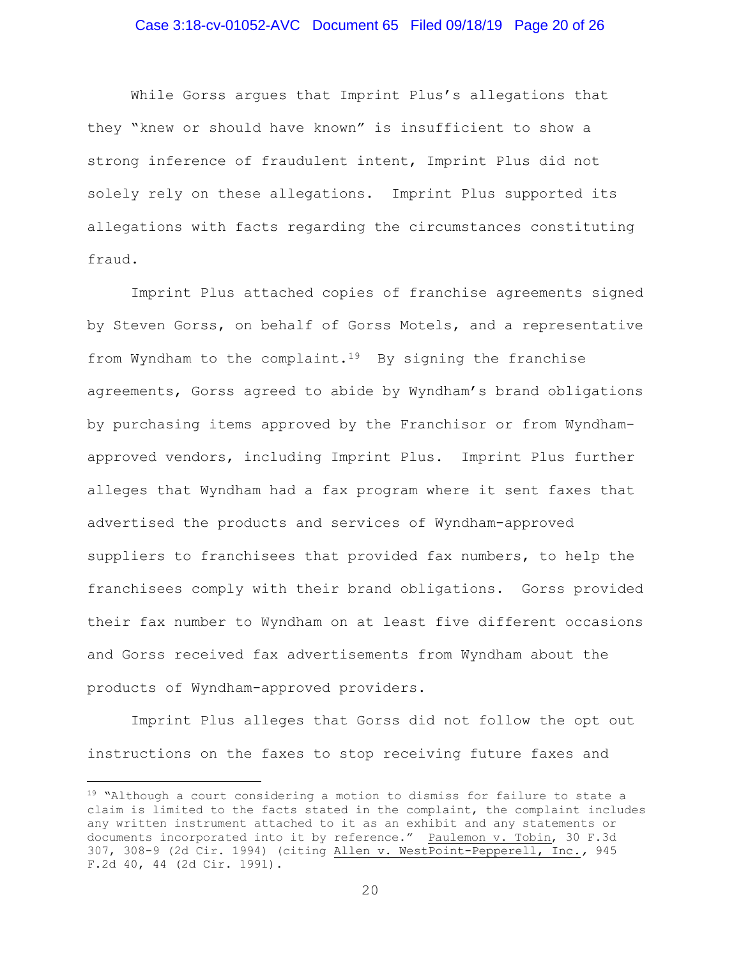## Case 3:18-cv-01052-AVC Document 65 Filed 09/18/19 Page 20 of 26

While Gorss argues that Imprint Plus's allegations that they "knew or should have known" is insufficient to show a strong inference of fraudulent intent, Imprint Plus did not solely rely on these allegations. Imprint Plus supported its allegations with facts regarding the circumstances constituting fraud.

Imprint Plus attached copies of franchise agreements signed by Steven Gorss, on behalf of Gorss Motels, and a representative from Wyndham to the complaint.<sup>19</sup> By signing the franchise agreements, Gorss agreed to abide by Wyndham's brand obligations by purchasing items approved by the Franchisor or from Wyndhamapproved vendors, including Imprint Plus. Imprint Plus further alleges that Wyndham had a fax program where it sent faxes that advertised the products and services of Wyndham-approved suppliers to franchisees that provided fax numbers, to help the franchisees comply with their brand obligations. Gorss provided their fax number to Wyndham on at least five different occasions and Gorss received fax advertisements from Wyndham about the products of Wyndham-approved providers.

Imprint Plus alleges that Gorss did not follow the opt out instructions on the faxes to stop receiving future faxes and

<sup>&</sup>lt;sup>19</sup> "Although a court considering a motion to dismiss for failure to state a claim is limited to the facts stated in the complaint, the complaint includes any written instrument attached to it as an exhibit and any statements or documents incorporated into it by reference." Paulemon v. Tobin, 30 F.3d 307, 308-9 (2d Cir. 1994) (citing Allen v. WestPoint-Pepperell, Inc., 945 F.2d 40, 44 (2d Cir. 1991).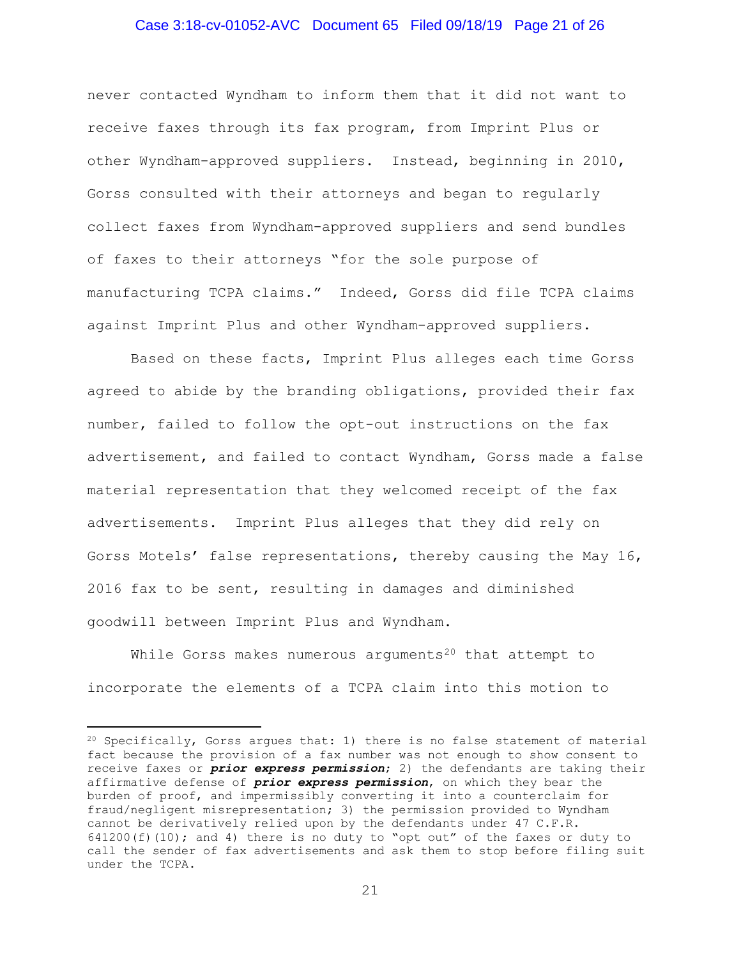## Case 3:18-cv-01052-AVC Document 65 Filed 09/18/19 Page 21 of 26

never contacted Wyndham to inform them that it did not want to receive faxes through its fax program, from Imprint Plus or other Wyndham-approved suppliers. Instead, beginning in 2010, Gorss consulted with their attorneys and began to regularly collect faxes from Wyndham-approved suppliers and send bundles of faxes to their attorneys "for the sole purpose of manufacturing TCPA claims." Indeed, Gorss did file TCPA claims against Imprint Plus and other Wyndham-approved suppliers.

Based on these facts, Imprint Plus alleges each time Gorss agreed to abide by the branding obligations, provided their fax number, failed to follow the opt-out instructions on the fax advertisement, and failed to contact Wyndham, Gorss made a false material representation that they welcomed receipt of the fax advertisements. Imprint Plus alleges that they did rely on Gorss Motels' false representations, thereby causing the May 16, 2016 fax to be sent, resulting in damages and diminished goodwill between Imprint Plus and Wyndham.

While Gorss makes numerous arguments<sup>20</sup> that attempt to incorporate the elements of a TCPA claim into this motion to

<sup>20</sup> Specifically, Gorss argues that: 1) there is no false statement of material fact because the provision of a fax number was not enough to show consent to receive faxes or *prior express permission*; 2) the defendants are taking their affirmative defense of *prior express permission*, on which they bear the burden of proof, and impermissibly converting it into a counterclaim for fraud/negligent misrepresentation; 3) the permission provided to Wyndham cannot be derivatively relied upon by the defendants under 47 C.F.R.  $641200(f)(10)$ ; and 4) there is no duty to "opt out" of the faxes or duty to call the sender of fax advertisements and ask them to stop before filing suit under the TCPA.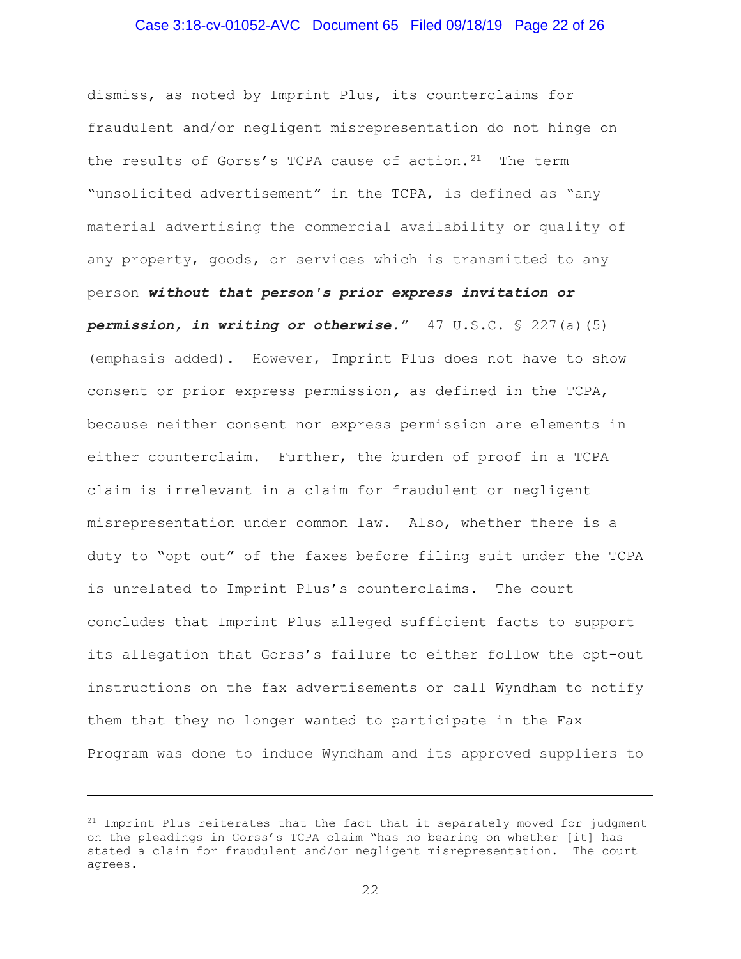## Case 3:18-cv-01052-AVC Document 65 Filed 09/18/19 Page 22 of 26

dismiss, as noted by Imprint Plus, its counterclaims for fraudulent and/or negligent misrepresentation do not hinge on the results of Gorss's TCPA cause of action.<sup>21</sup> The term "unsolicited advertisement" in the TCPA, is defined as "any material advertising the commercial availability or quality of any property, goods, or services which is transmitted to any person without that person's prior express invitation or permission, in writing or otherwise."  $47 \text{ U.S.C.} \$ 227(a)(5)$ (emphasis added). However, Imprint Plus does not have to show consent or prior express permission, as defined in the TCPA, because neither consent nor express permission are elements in either counterclaim. Further, the burden of proof in a TCPA claim is irrelevant in a claim for fraudulent or negligent misrepresentation under common law. Also, whether there is a duty to "opt out" of the faxes before filing suit under the TCPA is unrelated to Imprint Plus's counterclaims. The court concludes that Imprint Plus alleged sufficient facts to support its allegation that Gorss's failure to either follow the opt-out instructions on the fax advertisements or call Wyndham to notify them that they no longer wanted to participate in the Fax Program was done to induce Wyndham and its approved suppliers to

÷,

 $21$  Imprint Plus reiterates that the fact that it separately moved for judgment on the pleadings in Gorss's TCPA claim "has no bearing on whether [it] has stated a claim for fraudulent and/or negligent misrepresentation. The court agrees.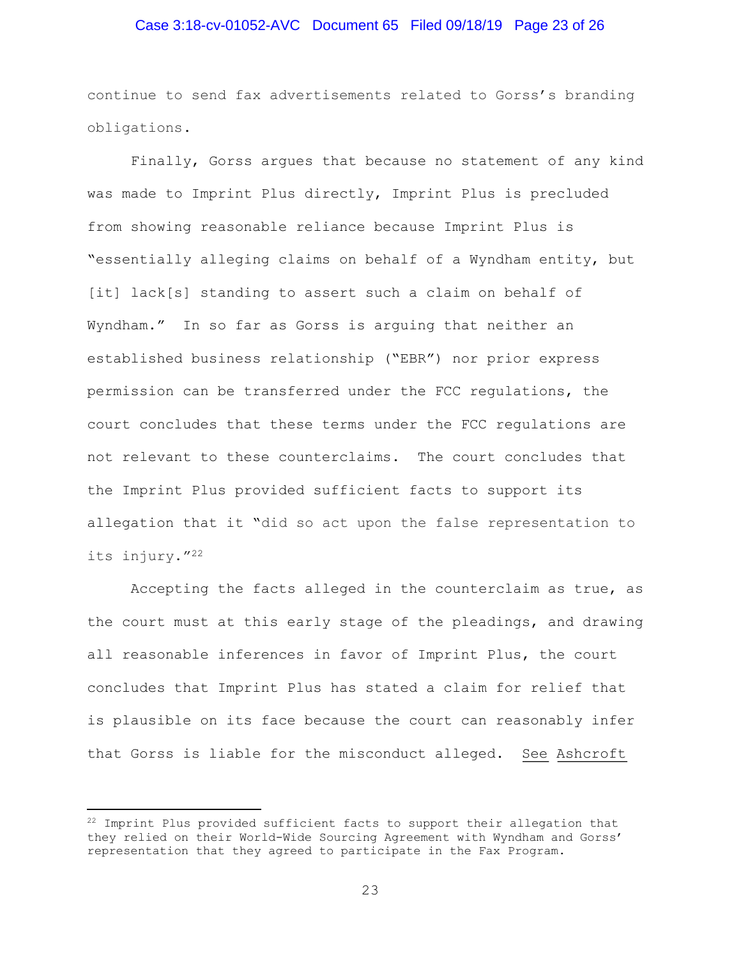## Case 3:18-cv-01052-AVC Document 65 Filed 09/18/19 Page 23 of 26

continue to send fax advertisements related to Gorss's branding obligations.

Finally, Gorss argues that because no statement of any kind was made to Imprint Plus directly, Imprint Plus is precluded from showing reasonable reliance because Imprint Plus is "essentially alleging claims on behalf of a Wyndham entity, but [it] lack[s] standing to assert such a claim on behalf of Wyndham." In so far as Gorss is arguing that neither an established business relationship ("EBR") nor prior express permission can be transferred under the FCC regulations, the court concludes that these terms under the FCC regulations are not relevant to these counterclaims. The court concludes that the Imprint Plus provided sufficient facts to support its allegation that it "did so act upon the false representation to its injury."<sup>22</sup>

Accepting the facts alleged in the counterclaim as true, as the court must at this early stage of the pleadings, and drawing all reasonable inferences in favor of Imprint Plus, the court concludes that Imprint Plus has stated a claim for relief that is plausible on its face because the court can reasonably infer that Gorss is liable for the misconduct alleged. See Ashcroft

<sup>&</sup>lt;sup>22</sup> Imprint Plus provided sufficient facts to support their allegation that they relied on their World-Wide Sourcing Agreement with Wyndham and Gorss' representation that they agreed to participate in the Fax Program.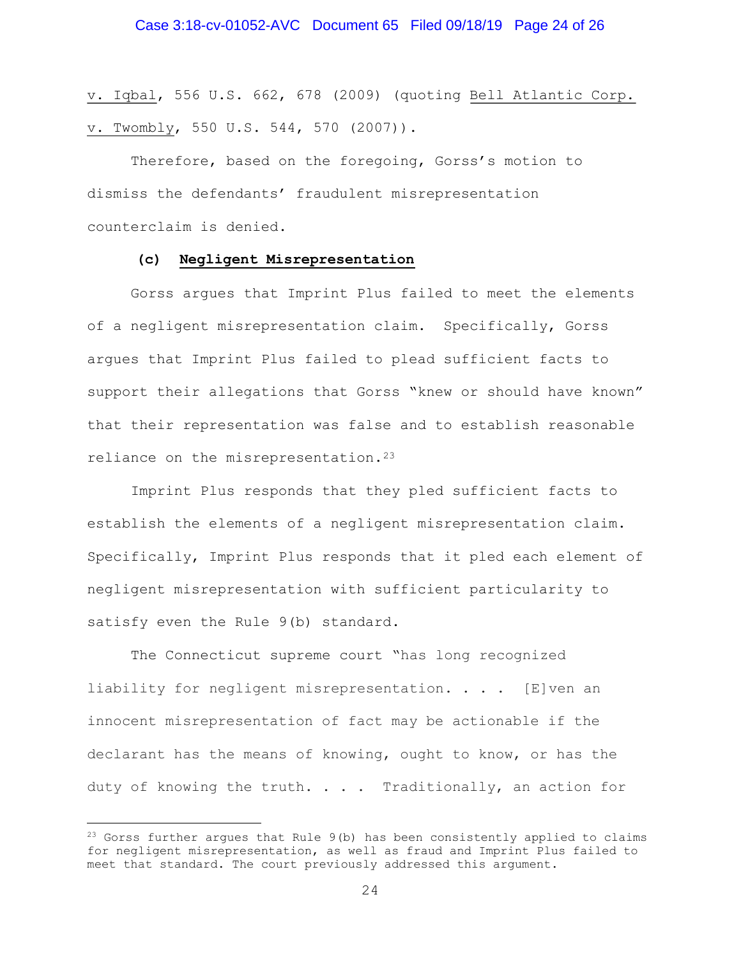v. Iqbal, 556 U.S. 662, 678 (2009) (quoting Bell Atlantic Corp. v. Twombly, 550 U.S. 544, 570 (2007)).

Therefore, based on the foregoing, Gorss's motion to dismiss the defendants' fraudulent misrepresentation counterclaim is denied.

#### (c) Negligent Misrepresentation

Gorss argues that Imprint Plus failed to meet the elements of a negligent misrepresentation claim. Specifically, Gorss argues that Imprint Plus failed to plead sufficient facts to support their allegations that Gorss "knew or should have known" that their representation was false and to establish reasonable reliance on the misrepresentation.<sup>23</sup>

Imprint Plus responds that they pled sufficient facts to establish the elements of a negligent misrepresentation claim. Specifically, Imprint Plus responds that it pled each element of negligent misrepresentation with sufficient particularity to satisfy even the Rule 9(b) standard.

The Connecticut supreme court "has long recognized liability for negligent misrepresentation. . . . [E]ven an innocent misrepresentation of fact may be actionable if the declarant has the means of knowing, ought to know, or has the duty of knowing the truth. . . . Traditionally, an action for

<sup>&</sup>lt;sup>23</sup> Gorss further argues that Rule 9(b) has been consistently applied to claims for negligent misrepresentation, as well as fraud and Imprint Plus failed to meet that standard. The court previously addressed this argument.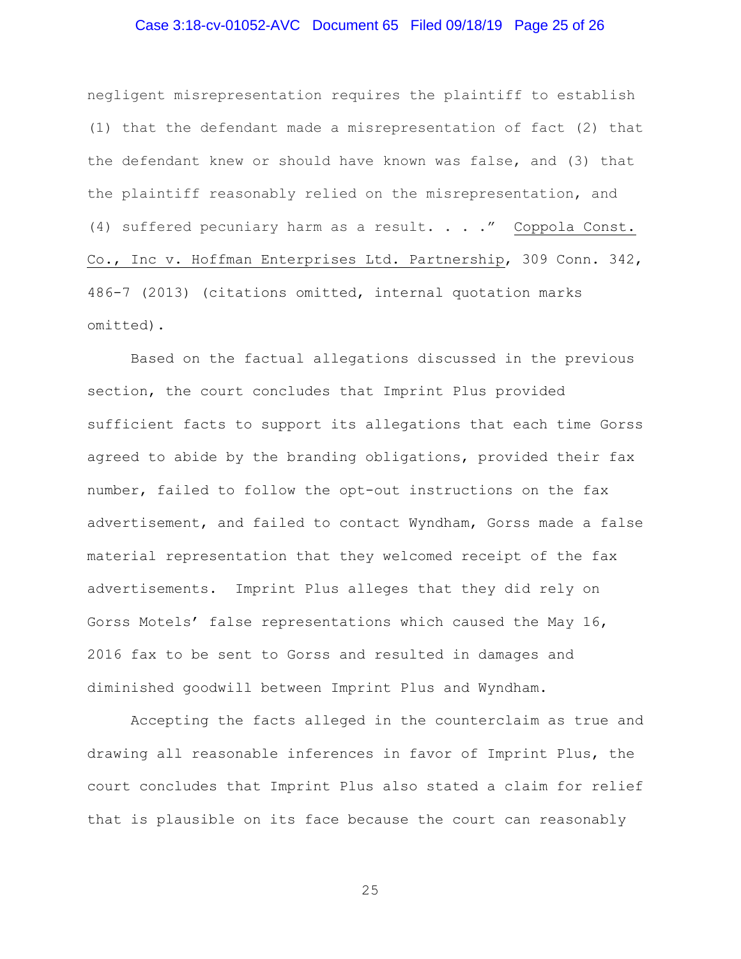## Case 3:18-cv-01052-AVC Document 65 Filed 09/18/19 Page 25 of 26

negligent misrepresentation requires the plaintiff to establish (1) that the defendant made a misrepresentation of fact (2) that the defendant knew or should have known was false, and (3) that the plaintiff reasonably relied on the misrepresentation, and (4) suffered pecuniary harm as a result. . . ." Coppola Const. Co., Inc v. Hoffman Enterprises Ltd. Partnership, 309 Conn. 342, 486-7 (2013) (citations omitted, internal quotation marks omitted).

Based on the factual allegations discussed in the previous section, the court concludes that Imprint Plus provided sufficient facts to support its allegations that each time Gorss agreed to abide by the branding obligations, provided their fax number, failed to follow the opt-out instructions on the fax advertisement, and failed to contact Wyndham, Gorss made a false material representation that they welcomed receipt of the fax advertisements. Imprint Plus alleges that they did rely on Gorss Motels' false representations which caused the May 16, 2016 fax to be sent to Gorss and resulted in damages and diminished goodwill between Imprint Plus and Wyndham.

Accepting the facts alleged in the counterclaim as true and drawing all reasonable inferences in favor of Imprint Plus, the court concludes that Imprint Plus also stated a claim for relief that is plausible on its face because the court can reasonably